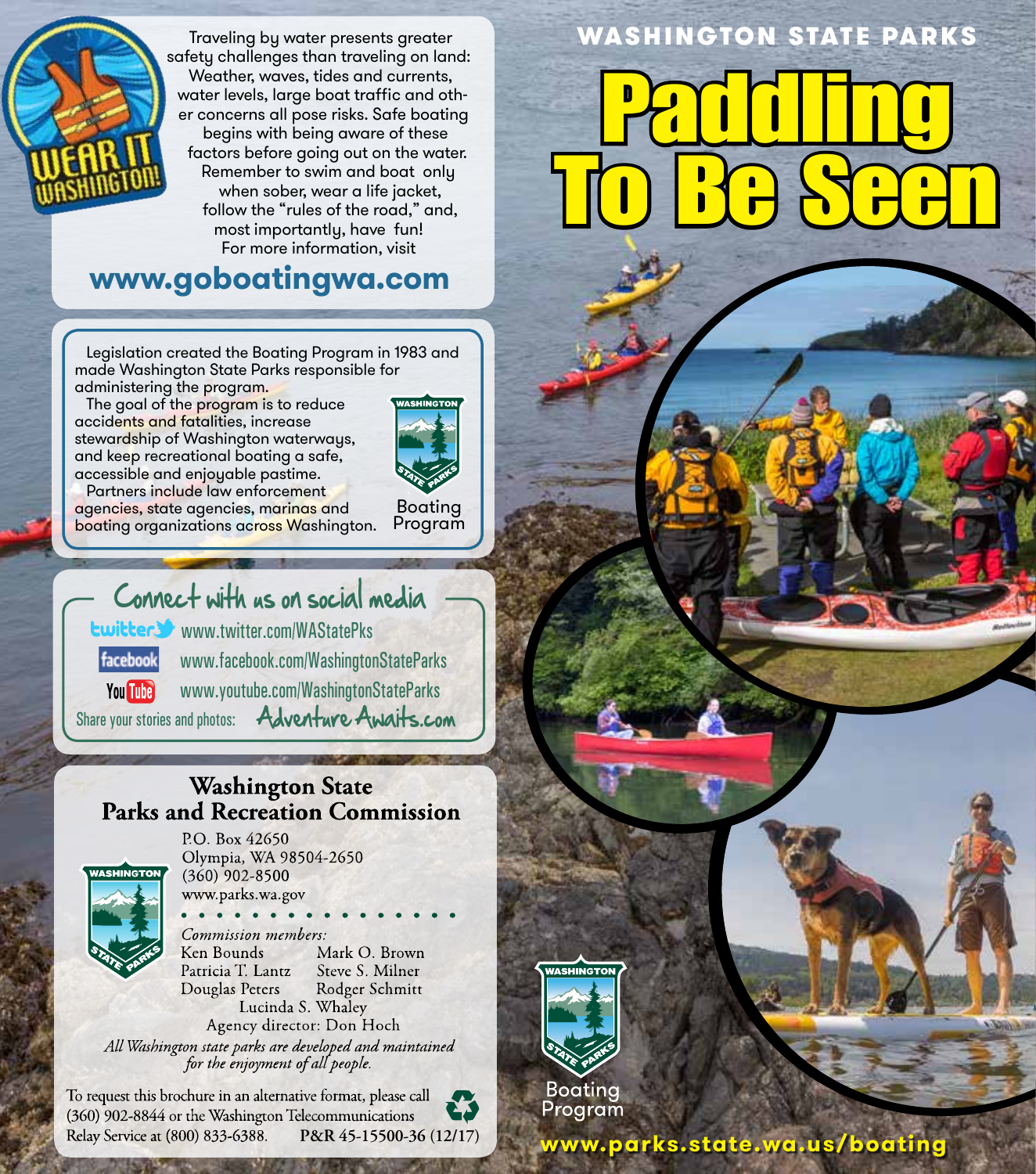

 Traveling by water presents greater safety challenges than traveling on land: Weather, waves, tides and currents, water levels, large boat traffic and other concerns all pose risks. Safe boating begins with being aware of these factors before going out on the water. Remember to swim and boat only when sober, wear a life jacket, follow the "rules of the road," and, most importantly, have fun! For more information, visit

## **www.goboatingwa.com**

 Legislation created the Boating Program in 1983 and made Washington State Parks responsible for administering the program.

The goal of the program is to reduce accidents and fatalities, increase stewardship of Washington waterways, and keep recreational boating a safe, accessible and enjoyable pastime.



 Partners include law enforcement agencies, state agencies, marinas and boating organizations across Washington.

Boating Program

# Connect with us on social media

www.twitter.com/WAStatePks www.facebook.com/WashingtonStateParks facebook

You **The** www.youtube.com/WashingtonStateParks

Share your stories and photos: **Adventure Awaits.com** 

## **Washington State Parks and Recreation Commission**



**STANDARD AND A** 

P.O. Box 42650 Olympia, WA 98504-2650  $(360)$  902-8500 www.parks.wa.gov

Commission members: Mark O. Brown Ken Bounds Patricia T. Lantz Steve S. Milner Douglas Peters Rodger Schmitt Lucinda S. Whaley

Agency director: Don Hoch All Washington state parks are developed and maintained for the enjoyment of all people.

To request this brochure in an alternative format, please call (360) 902-8844 or the Washington Telecommunications Relay Service at (800) 833-6388.

WASHINGTON STATE PARKS

# Paddling To Be Seen



Boatina Program

**P&R 45-15500-36 (12/17) www.parks.state.wa.us/boating**

**Puget Sound**